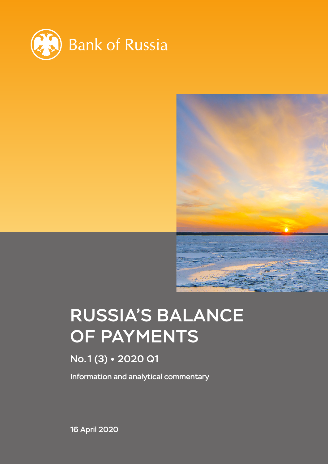



# RUSSIA'S BALANCE OF PAYMENTS

# No.1 (3) 2020 Q1

Information and analytical commentary

16 April 2020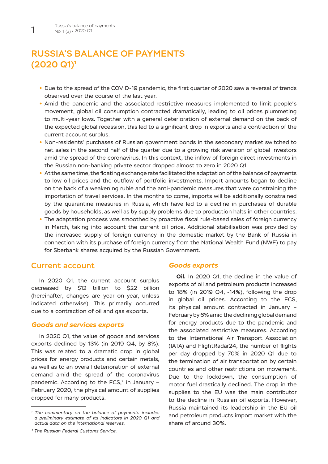## RUSSIA'S BALANCE OF PAYMENTS (2020 Q1)1

- **•** Due to the spread of the COVID-19 pandemic, the first quarter of 2020 saw a reversal of trends observed over the course of the last year.
- **•** Amid the pandemic and the associated restrictive measures implemented to limit people's movement, global oil consumption contracted dramatically, leading to oil prices plummeting to multi-year lows. Together with a general deterioration of external demand on the back of the expected global recession, this led to a significant drop in exports and a contraction of the current account surplus.
- **•** Non-residents' purchases of Russian government bonds in the secondary market switched to net sales in the second half of the quarter due to a growing risk aversion of global investors amid the spread of the coronavirus. In this context, the inflow of foreign direct investments in the Russian non-banking private sector dropped almost to zero in 2020 Q1.
- **•** At the same time, the floating exchange rate facilitated the adaptation of the balance of payments to low oil prices and the outflow of portfolio investments. Import amounts began to decline on the back of a weakening ruble and the anti-pandemic measures that were constraining the importation of travel services. In the months to come, imports will be additionally constrained by the quarantine measures in Russia, which have led to a decline in purchases of durable goods by households, as well as by supply problems due to production halts in other countries.
- **•** The adaptation process was smoothed by proactive fiscal rule-based sales of foreign currency in March, taking into account the current oil price. Additional stabilisation was provided by the increased supply of foreign currency in the domestic market by the Bank of Russia in connection with its purchase of foreign currency from the National Wealth Fund (NWF) to pay for Sberbank shares acquired by the Russian Government.

## Current account

In 2020 Q1, the current account surplus decreased by \$12 billion to \$22 billion (hereinafter, changes are year-on-year, unless indicated otherwise). This primarily occurred due to a contraction of oil and gas exports.

### *Goods and services exports*

In 2020 Q1, the value of goods and services exports declined by 13% (in 2019 Q4, by 8%). This was related to a dramatic drop in global prices for energy products and certain metals, as well as to an overall deterioration of external demand amid the spread of the coronavirus pandemic. According to the FCS, $2$  in January -February 2020, the physical amount of supplies dropped for many products.

### *Goods exports*

**Oil.** In 2020 Q1, the decline in the value of exports of oil and petroleum products increased to 18% (in 2019 Q4, -14%), following the drop in global oil prices. According to the FCS, its physical amount contracted in January – February by 6% amid the declining global demand for energy products due to the pandemic and the associated restrictive measures. According to the International Air Transport Association (IATA) and FlightRadar24, the number of flights per day dropped by 70% in 2020 Q1 due to the termination of air transportation by certain countries and other restrictions on movement. Due to the lockdown, the consumption of motor fuel drastically declined. The drop in the supplies to the EU was the main contributor to the decline in Russian oil exports. However, Russia maintained its leadership in the EU oil and petroleum products import market with the share of around 30%.

*<sup>1</sup> The commentary on the balance of payments includes a preliminary estimate of its indicators in 2020 Q1 and actual data on the international reserves.*

*<sup>2</sup> The Russian Federal Customs Service.*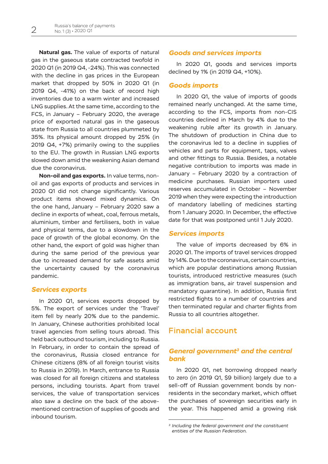**Natural gas.** The value of exports of natural gas in the gaseous state contracted twofold in 2020 Q1 (in 2019 Q4, -24%). This was connected with the decline in gas prices in the European market that dropped by 50% in 2020 Q1 (in 2019 Q4, -41%) on the back of record high inventories due to a warm winter and increased LNG supplies. At the same time, according to the FCS, in January – February 2020, the average price of exported natural gas in the gaseous state from Russia to all countries plummeted by 35%. Its physical amount dropped by 25% (in 2019 Q4, +7%) primarily owing to the supplies to the EU. The growth in Russian LNG exports slowed down amid the weakening Asian demand due the coronavirus.

**Non-oil and gas exports.** In value terms, nonoil and gas exports of products and services in 2020 Q1 did not change significantly. Various product items showed mixed dynamics. On the one hand, January – February 2020 saw a decline in exports of wheat, coal, ferrous metals, aluminium, timber and fertilisers, both in value and physical terms, due to a slowdown in the pace of growth of the global economy. On the other hand, the export of gold was higher than during the same period of the previous year due to increased demand for safe assets amid the uncertainty caused by the coronavirus pandemic.

## *Services exports*

In 2020 Q1, services exports dropped by 5%. The export of services under the 'Travel' item fell by nearly 20% due to the pandemic. In January, Chinese authorities prohibited local travel agencies from selling tours abroad. This held back outbound tourism, including to Russia. In February, in order to contain the spread of the coronavirus, Russia closed entrance for Chinese citizens (8% of all foreign tourist visits to Russia in 2019). In March, entrance to Russia was closed for all foreign citizens and stateless persons, including tourists. Apart from travel services, the value of transportation services also saw a decline on the back of the abovementioned contraction of supplies of goods and inbound tourism.

## *Goods and services imports*

In 2020 Q1, goods and services imports declined by 1% (in 2019 Q4, +10%).

## *Goods imports*

In 2020 Q1, the value of imports of goods remained nearly unchanged. At the same time, according to the FCS, imports from non-CIS countries declined in March by 4% due to the weakening ruble after its growth in January. The shutdown of production in China due to the coronavirus led to a decline in supplies of vehicles and parts for equipment, taps, valves and other fittings to Russia. Besides, a notable negative contribution to imports was made in January – February 2020 by a contraction of medicine purchases. Russian importers used reserves accumulated in October – November 2019 when they were expecting the introduction of mandatory labelling of medicines starting from 1 January 2020. In December, the effective date for that was postponed until 1 July 2020.

## *Services imports*

The value of imports decreased by 6% in 2020 Q1. The imports of travel services dropped by 14%. Due to the coronavirus, certain countries, which are popular destinations among Russian tourists, introduced restrictive measures (such as immigration bans, air travel suspension and mandatory quarantine). In addition, Russia first restricted flights to a number of countries and then terminated regular and charter flights from Russia to all countries altogether.

## Financial account

## *General government3 and the central bank*

In 2020 Q1, net borrowing dropped nearly to zero (in 2019 Q1, \$9 billion) largely due to a sell-off of Russian government bonds by nonresidents in the secondary market, which offset the purchases of sovereign securities early in the year. This happened amid a growing risk

*<sup>3</sup> Including the federal government and the constituent entities of the Russian Federation.*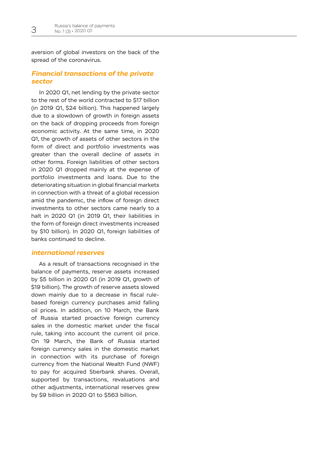aversion of global investors on the back of the spread of the coronavirus.

## *Financial transactions of the private sector*

In 2020 Q1, net lending by the private sector to the rest of the world contracted to \$17 billion (in 2019 Q1, \$24 billion). This happened largely due to a slowdown of growth in foreign assets on the back of dropping proceeds from foreign economic activity. At the same time, in 2020 Q1, the growth of assets of other sectors in the form of direct and portfolio investments was greater than the overall decline of assets in other forms. Foreign liabilities of other sectors in 2020 Q1 dropped mainly at the expense of portfolio investments and loans. Due to the deteriorating situation in global financial markets in connection with a threat of a global recession amid the pandemic, the inflow of foreign direct investments to other sectors came nearly to a halt in 2020 Q1 (in 2019 Q1, their liabilities in the form of foreign direct investments increased by \$10 billion). In 2020 Q1, foreign liabilities of banks continued to decline.

## *international reserves*

As a result of transactions recognised in the balance of payments, reserve assets increased by \$5 billion in 2020 Q1 (in 2019 Q1, growth of \$19 billion). The growth of reserve assets slowed down mainly due to a decrease in fiscal rulebased foreign currency purchases amid falling oil prices. In addition, on 10 March, the Bank of Russia started proactive foreign currency sales in the domestic market under the fiscal rule, taking into account the current oil price. On 19 March, the Bank of Russia started foreign currency sales in the domestic market in connection with its purchase of foreign currency from the National Wealth Fund (NWF) to pay for acquired Sberbank shares. Overall, supported by transactions, revaluations and other adjustments, international reserves grew by \$9 billion in 2020 Q1 to \$563 billion.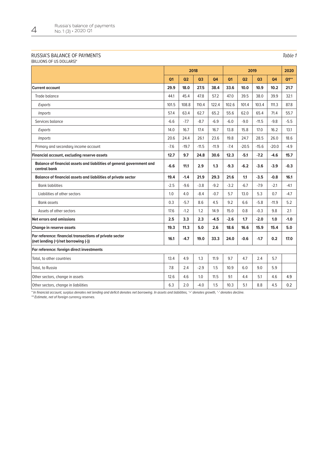#### RUSSIA'S BALANCE OF PAYMENTS

(BILLIONS OF US DOLLARS)\*

|                                                                                                | 2018   |                |                |           | 2019   |                |                |           | 2020   |
|------------------------------------------------------------------------------------------------|--------|----------------|----------------|-----------|--------|----------------|----------------|-----------|--------|
|                                                                                                | Q1     | Q <sub>2</sub> | Q <sub>3</sub> | <b>Q4</b> | Q1     | Q <sub>2</sub> | Q <sub>3</sub> | <b>Q4</b> | $Q1**$ |
| <b>Current account</b>                                                                         | 29.9   | 18.0           | 27.5           | 38.4      | 33.6   | 10.0           | 10.9           | 10.2      | 21.7   |
| Trade balance                                                                                  | 44.1   | 45.4           | 47.8           | 57.2      | 47.0   | 39.5           | 38.0           | 39.9      | 32.1   |
| Exports                                                                                        | 101.5  | 108.8          | 110.4          | 122.4     | 102.6  | 101.4          | 103.4          | 111.3     | 87.8   |
| <i>Imports</i>                                                                                 | 57.4   | 63.4           | 62.7           | 65.2      | 55.6   | 62.0           | 65.4           | 71.4      | 55.7   |
| Services balance                                                                               | $-6.6$ | $-7.7$         | $-8.7$         | $-6.9$    | $-6.0$ | $-9.0$         | $-11.5$        | $-9.8$    | $-5.5$ |
| Exports                                                                                        | 14.0   | 16.7           | 17.4           | 16.7      | 13.8   | 15.8           | 17.0           | 16.2      | 13.1   |
| <i>Imports</i>                                                                                 | 20.6   | 24.4           | 26.1           | 23.6      | 19.8   | 24.7           | 28.5           | 26.0      | 18.6   |
| Primary and secondary income account                                                           | $-7.6$ | $-19.7$        | $-11.5$        | $-11.9$   | $-7.4$ | $-20.5$        | $-15.6$        | $-20.0$   | $-4.9$ |
| Financial account, excluding reserve assets                                                    | 12.7   | 9.7            | 24.8           | 30.6      | 12.3   | $-5.1$         | $-7.2$         | $-4.6$    | 15.7   |
| Balance of financial assets and liabilities of general government and<br>central bank          | $-6.6$ | 11.1           | 2.9            | 1.3       | $-9.3$ | $-6.2$         | $-3.6$         | $-3.9$    | $-0.3$ |
| Balance of financial assets and liabilities of private sector                                  | 19.4   | $-1.4$         | 21.9           | 29.3      | 21.6   | 1.1            | $-3.5$         | $-0.8$    | 16.1   |
| <b>Bank liabilities</b>                                                                        | $-2.5$ | $-9.6$         | $-3.8$         | $-9.2$    | $-3.2$ | $-6.7$         | $-7.9$         | $-2.1$    | $-4.1$ |
| Liabilities of other sectors                                                                   | 1.0    | 4.0            | $-8.4$         | $-0.7$    | 5.7    | 13.0           | 5.3            | 0.7       | $-4.7$ |
| <b>Bank assets</b>                                                                             | 0.3    | $-5.7$         | 8.6            | 4.5       | 9.2    | 6.6            | $-5.8$         | $-11.9$   | 5.2    |
| Assets of other sectors                                                                        | 17.6   | $-1.2$         | 1.2            | 14.9      | 15.0   | 0.8            | $-0.3$         | 9.8       | 2.1    |
| Net errors and omissions                                                                       | 2.5    | 3.3            | 2.3            | $-4.5$    | $-2.6$ | 1.7            | $-2.0$         | 1.0       | $-1.0$ |
| Change in reserve assets                                                                       | 19.3   | 11.3           | 5.0            | 2.6       | 18.6   | 16.6           | 15.9           | 15.4      | 5.0    |
| For reference: financial transactions of private sector<br>(net lending (+)/net borrowing (-)) | 16.1   | $-4.7$         | 19.0           | 33.3      | 24.0   | $-0.6$         | $-1.7$         | 0.2       | 17.0   |
| For reference: foreign direct investments                                                      |        |                |                |           |        |                |                |           |        |
| Total, to other countries                                                                      | 13.4   | 4.9            | 1.3            | 11.9      | 9.7    | 4.7            | 2.4            | 5.7       |        |
| Total, to Russia                                                                               | 7.8    | 2.4            | $-2.9$         | 1.5       | 10.9   | 6.0            | 9.0            | 5.9       |        |
| Other sectors, change in assets                                                                | 12.6   | 4.6            | 1.0            | 11.5      | 9.1    | 4.4            | 5.1            | 4.6       | 4.9    |
| Other sectors, change in liabilities                                                           | 6.3    | 2.0            | $-4.0$         | 1.5       | 10.3   | 5.1            | 8.8            | 4.5       | 0.2    |

\* In financial account, surplus denotes net lending and deficit denotes net borrowing. In assets and liabilities, '+' denotes growth, '-' denotes decline.

\*\* Estimate, net of foreign currency reserves.

Table 1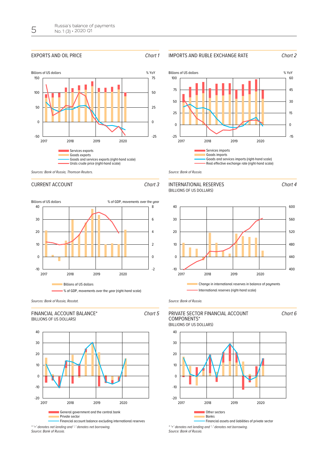#### EXPORTS AND OIL PRICE Chart 1







Chart 4

Chart 6





Source: Bank of Russia.

#### INTERNATIONAL RESERVES (BILLIONS OF US DOLLARS)



Source: Bank of Russia.

#### PRIVATE SECTOR FINANCIAL ACCOUNT COMPONENTS\* (BILLIONS OF US DOLLARS)



\* '+' denotes net lending and '-' denotes net borrowing. Source: Bank of Russia.



Sources: Bank of Russia, Thomson Reuters.

### CURRENT ACCOUNT CHart 3



Sources: Bank of Russia, Rosstat.

-20





-10  $\overline{0}$ 10 20 30 40

2017 2018 2019 2020 General government and the central bank Private sector Financial account balance excluding international reserves \* '+' denotes net lending and '-' denotes net borrowing.